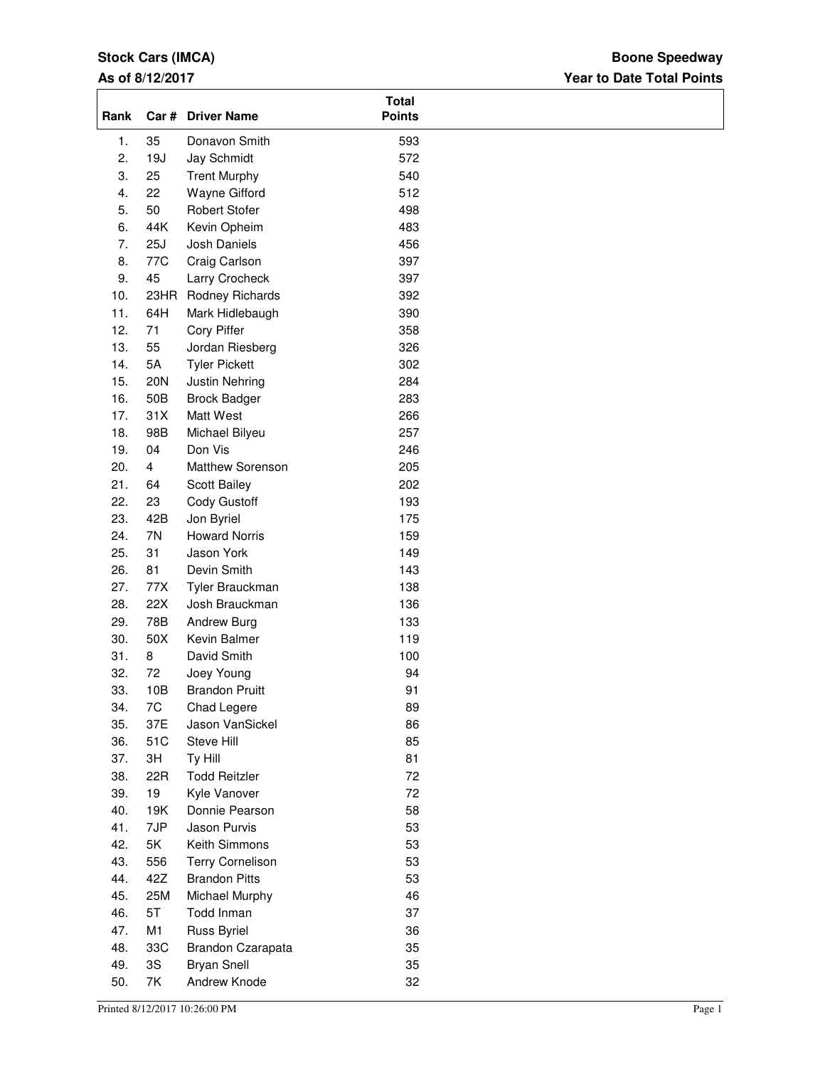# **Stock Cars (IMCA)**

### **As of 8/12/2017**

### **Year to Date Total Points Boone Speedway**

| Rank |                | Car # Driver Name       | <b>Total</b><br><b>Points</b> |
|------|----------------|-------------------------|-------------------------------|
| 1.   | 35             | Donavon Smith           | 593                           |
| 2.   | 19J            | Jay Schmidt             | 572                           |
| 3.   | 25             | <b>Trent Murphy</b>     | 540                           |
| 4.   | 22             | Wayne Gifford           | 512                           |
| 5.   | 50             | <b>Robert Stofer</b>    | 498                           |
| 6.   | 44K            | Kevin Opheim            | 483                           |
| 7.   | 25J            | Josh Daniels            | 456                           |
| 8.   | 77C            | Craig Carlson           | 397                           |
| 9.   | 45             | Larry Crocheck          | 397                           |
| 10.  | 23HR           | Rodney Richards         | 392                           |
| 11.  | 64H            | Mark Hidlebaugh         | 390                           |
| 12.  | 71             | Cory Piffer             | 358                           |
| 13.  | 55             | Jordan Riesberg         | 326                           |
| 14.  | 5A             | <b>Tyler Pickett</b>    | 302                           |
|      |                |                         |                               |
| 15.  | 20N            | Justin Nehring          | 284                           |
| 16.  | 50B            | <b>Brock Badger</b>     | 283                           |
| 17.  | 31X            | Matt West               | 266                           |
| 18.  | 98B            | Michael Bilyeu          | 257                           |
| 19.  | 04             | Don Vis                 | 246                           |
| 20.  | $\overline{4}$ | Matthew Sorenson        | 205                           |
| 21.  | 64             | Scott Bailey            | 202                           |
| 22.  | 23             | Cody Gustoff            | 193                           |
| 23.  | 42B            | Jon Byriel              | 175                           |
| 24.  | 7N             | <b>Howard Norris</b>    | 159                           |
| 25.  | 31             | Jason York              | 149                           |
| 26.  | 81             | Devin Smith             | 143                           |
| 27.  | 77X            | Tyler Brauckman         | 138                           |
| 28.  | 22X            | Josh Brauckman          | 136                           |
| 29.  | 78B            | Andrew Burg             | 133                           |
| 30.  | 50X            | Kevin Balmer            | 119                           |
| 31.  | 8              | David Smith             | 100                           |
| 32.  | 72             | Joey Young              | 94                            |
| 33.  | 10B            | <b>Brandon Pruitt</b>   | 91                            |
| 34.  | 7C             | Chad Legere             | 89                            |
| 35.  | 37E            | Jason VanSickel         | 86                            |
|      |                |                         |                               |
| 36.  | 51C            | Steve Hill              | 85                            |
| 37.  | 3H             | Ty Hill                 | 81                            |
| 38.  | 22R            | <b>Todd Reitzler</b>    | 72                            |
| 39.  | 19             | Kyle Vanover            | 72                            |
| 40.  | 19K            | Donnie Pearson          | 58                            |
| 41.  | 7JP            | Jason Purvis            | 53                            |
| 42.  | 5K             | Keith Simmons           | 53                            |
| 43.  | 556            | <b>Terry Cornelison</b> | 53                            |
| 44.  | 42Z            | <b>Brandon Pitts</b>    | 53                            |
| 45.  | 25M            | Michael Murphy          | 46                            |
| 46.  | 5T             | Todd Inman              | 37                            |
| 47.  | M1             | Russ Byriel             | 36                            |
| 48.  | 33C            | Brandon Czarapata       | 35                            |
| 49.  | 3S             | <b>Bryan Snell</b>      | 35                            |
| 50.  | 7K             | Andrew Knode            | 32                            |